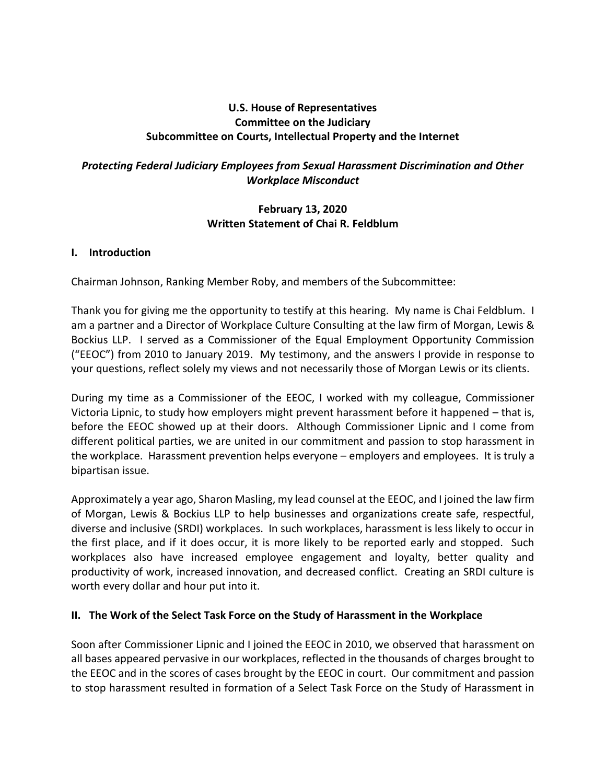# **U.S. House of Representatives Committee on the Judiciary Subcommittee on Courts, Intellectual Property and the Internet**

# *Protecting Federal Judiciary Employees from Sexual Harassment Discrimination and Other Workplace Misconduct*

### **February 13, 2020 Written Statement of Chai R. Feldblum**

#### **I. Introduction**

Chairman Johnson, Ranking Member Roby, and members of the Subcommittee:

Thank you for giving me the opportunity to testify at this hearing. My name is Chai Feldblum. I am a partner and a Director of Workplace Culture Consulting at the law firm of Morgan, Lewis & Bockius LLP. I served as a Commissioner of the Equal Employment Opportunity Commission ("EEOC") from 2010 to January 2019. My testimony, and the answers I provide in response to your questions, reflect solely my views and not necessarily those of Morgan Lewis or its clients.

During my time as a Commissioner of the EEOC, I worked with my colleague, Commissioner Victoria Lipnic, to study how employers might prevent harassment before it happened – that is, before the EEOC showed up at their doors. Although Commissioner Lipnic and I come from different political parties, we are united in our commitment and passion to stop harassment in the workplace. Harassment prevention helps everyone – employers and employees. It is truly a bipartisan issue.

Approximately a year ago, Sharon Masling, my lead counsel at the EEOC, and I joined the law firm of Morgan, Lewis & Bockius LLP to help businesses and organizations create safe, respectful, diverse and inclusive (SRDI) workplaces. In such workplaces, harassment is less likely to occur in the first place, and if it does occur, it is more likely to be reported early and stopped. Such workplaces also have increased employee engagement and loyalty, better quality and productivity of work, increased innovation, and decreased conflict. Creating an SRDI culture is worth every dollar and hour put into it.

### **II. The Work of the Select Task Force on the Study of Harassment in the Workplace**

Soon after Commissioner Lipnic and I joined the EEOC in 2010, we observed that harassment on all bases appeared pervasive in our workplaces, reflected in the thousands of charges brought to the EEOC and in the scores of cases brought by the EEOC in court. Our commitment and passion to stop harassment resulted in formation of a Select Task Force on the Study of Harassment in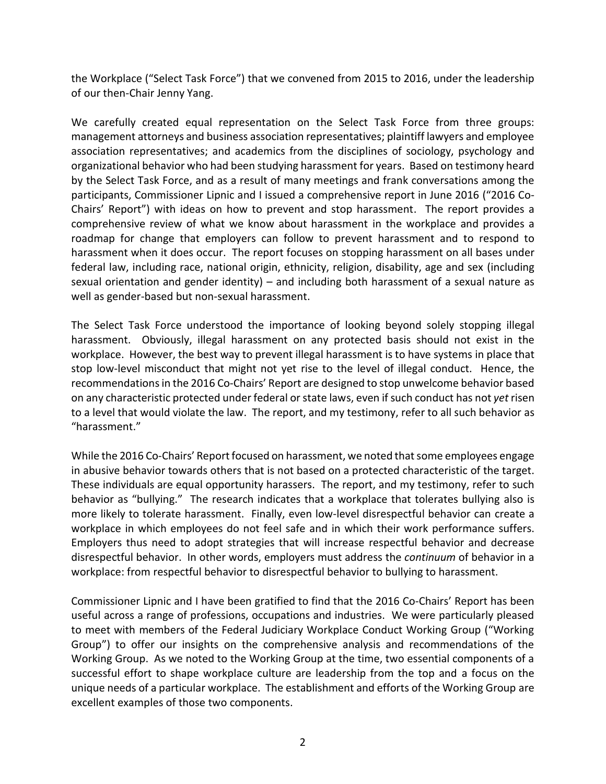the Workplace ("Select Task Force") that we convened from 2015 to 2016, under the leadership of our then-Chair Jenny Yang.

We carefully created equal representation on the Select Task Force from three groups: management attorneys and business association representatives; plaintiff lawyers and employee association representatives; and academics from the disciplines of sociology, psychology and organizational behavior who had been studying harassment for years. Based on testimony heard by the Select Task Force, and as a result of many meetings and frank conversations among the participants, Commissioner Lipnic and I issued a comprehensive report in June 2016 ("2016 Co-Chairs' Report") with ideas on how to prevent and stop harassment. The report provides a comprehensive review of what we know about harassment in the workplace and provides a roadmap for change that employers can follow to prevent harassment and to respond to harassment when it does occur. The report focuses on stopping harassment on all bases under federal law, including race, national origin, ethnicity, religion, disability, age and sex (including sexual orientation and gender identity) – and including both harassment of a sexual nature as well as gender-based but non-sexual harassment.

The Select Task Force understood the importance of looking beyond solely stopping illegal harassment. Obviously, illegal harassment on any protected basis should not exist in the workplace. However, the best way to prevent illegal harassment is to have systems in place that stop low-level misconduct that might not yet rise to the level of illegal conduct. Hence, the recommendations in the 2016 Co-Chairs' Report are designed to stop unwelcome behavior based on any characteristic protected under federal or state laws, even if such conduct has not *yet* risen to a level that would violate the law. The report, and my testimony, refer to all such behavior as "harassment."

While the 2016 Co-Chairs' Report focused on harassment, we noted that some employees engage in abusive behavior towards others that is not based on a protected characteristic of the target. These individuals are equal opportunity harassers. The report, and my testimony, refer to such behavior as "bullying." The research indicates that a workplace that tolerates bullying also is more likely to tolerate harassment. Finally, even low-level disrespectful behavior can create a workplace in which employees do not feel safe and in which their work performance suffers. Employers thus need to adopt strategies that will increase respectful behavior and decrease disrespectful behavior. In other words, employers must address the *continuum* of behavior in a workplace: from respectful behavior to disrespectful behavior to bullying to harassment.

Commissioner Lipnic and I have been gratified to find that the 2016 Co-Chairs' Report has been useful across a range of professions, occupations and industries. We were particularly pleased to meet with members of the Federal Judiciary Workplace Conduct Working Group ("Working Group") to offer our insights on the comprehensive analysis and recommendations of the Working Group. As we noted to the Working Group at the time, two essential components of a successful effort to shape workplace culture are leadership from the top and a focus on the unique needs of a particular workplace. The establishment and efforts of the Working Group are excellent examples of those two components.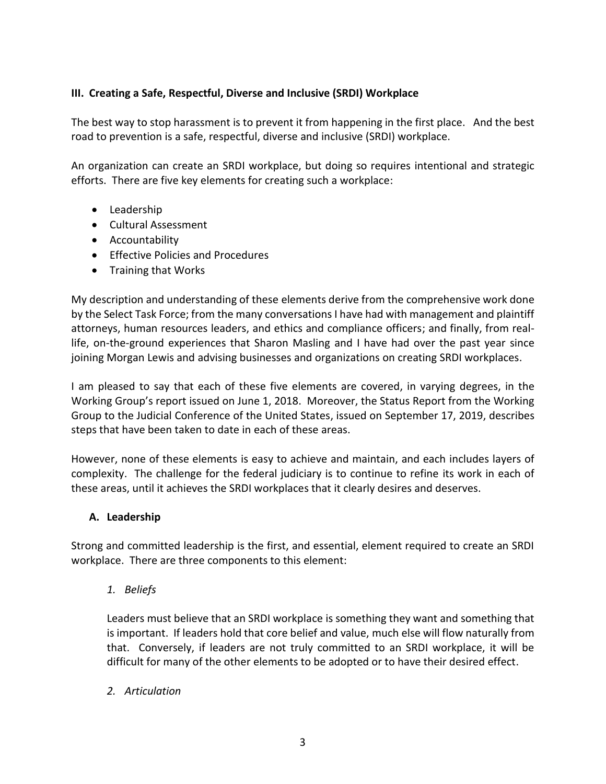# **III. Creating a Safe, Respectful, Diverse and Inclusive (SRDI) Workplace**

The best way to stop harassment is to prevent it from happening in the first place. And the best road to prevention is a safe, respectful, diverse and inclusive (SRDI) workplace.

An organization can create an SRDI workplace, but doing so requires intentional and strategic efforts. There are five key elements for creating such a workplace:

- Leadership
- Cultural Assessment
- Accountability
- Effective Policies and Procedures
- Training that Works

My description and understanding of these elements derive from the comprehensive work done by the Select Task Force; from the many conversations I have had with management and plaintiff attorneys, human resources leaders, and ethics and compliance officers; and finally, from reallife, on-the-ground experiences that Sharon Masling and I have had over the past year since joining Morgan Lewis and advising businesses and organizations on creating SRDI workplaces.

I am pleased to say that each of these five elements are covered, in varying degrees, in the Working Group's report issued on June 1, 2018. Moreover, the Status Report from the Working Group to the Judicial Conference of the United States, issued on September 17, 2019, describes steps that have been taken to date in each of these areas.

However, none of these elements is easy to achieve and maintain, and each includes layers of complexity. The challenge for the federal judiciary is to continue to refine its work in each of these areas, until it achieves the SRDI workplaces that it clearly desires and deserves.

### **A. Leadership**

Strong and committed leadership is the first, and essential, element required to create an SRDI workplace. There are three components to this element:

*1. Beliefs*

Leaders must believe that an SRDI workplace is something they want and something that is important. If leaders hold that core belief and value, much else will flow naturally from that. Conversely, if leaders are not truly committed to an SRDI workplace, it will be difficult for many of the other elements to be adopted or to have their desired effect.

*2. Articulation*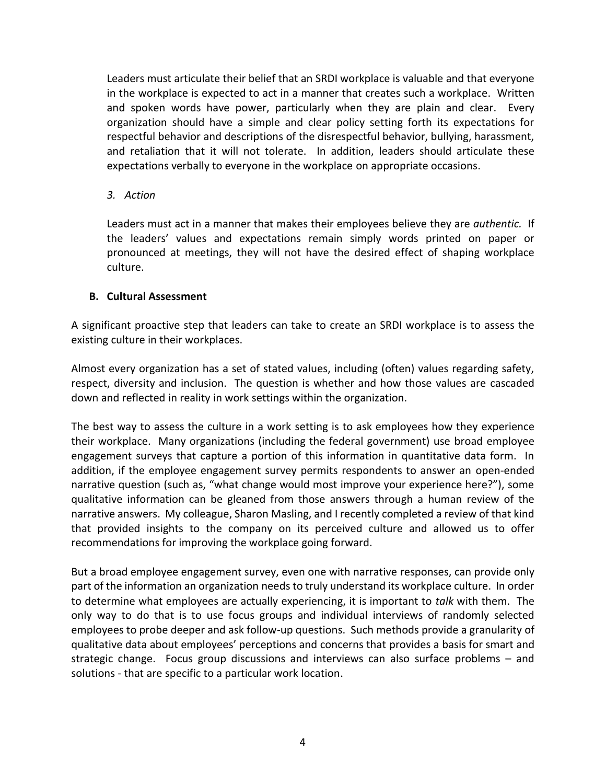Leaders must articulate their belief that an SRDI workplace is valuable and that everyone in the workplace is expected to act in a manner that creates such a workplace. Written and spoken words have power, particularly when they are plain and clear. Every organization should have a simple and clear policy setting forth its expectations for respectful behavior and descriptions of the disrespectful behavior, bullying, harassment, and retaliation that it will not tolerate. In addition, leaders should articulate these expectations verbally to everyone in the workplace on appropriate occasions.

#### *3. Action*

Leaders must act in a manner that makes their employees believe they are *authentic.* If the leaders' values and expectations remain simply words printed on paper or pronounced at meetings, they will not have the desired effect of shaping workplace culture.

#### **B. Cultural Assessment**

A significant proactive step that leaders can take to create an SRDI workplace is to assess the existing culture in their workplaces.

Almost every organization has a set of stated values, including (often) values regarding safety, respect, diversity and inclusion. The question is whether and how those values are cascaded down and reflected in reality in work settings within the organization.

The best way to assess the culture in a work setting is to ask employees how they experience their workplace. Many organizations (including the federal government) use broad employee engagement surveys that capture a portion of this information in quantitative data form. In addition, if the employee engagement survey permits respondents to answer an open-ended narrative question (such as, "what change would most improve your experience here?"), some qualitative information can be gleaned from those answers through a human review of the narrative answers. My colleague, Sharon Masling, and I recently completed a review of that kind that provided insights to the company on its perceived culture and allowed us to offer recommendations for improving the workplace going forward.

But a broad employee engagement survey, even one with narrative responses, can provide only part of the information an organization needs to truly understand its workplace culture. In order to determine what employees are actually experiencing, it is important to *talk* with them. The only way to do that is to use focus groups and individual interviews of randomly selected employees to probe deeper and ask follow-up questions. Such methods provide a granularity of qualitative data about employees' perceptions and concerns that provides a basis for smart and strategic change. Focus group discussions and interviews can also surface problems – and solutions - that are specific to a particular work location.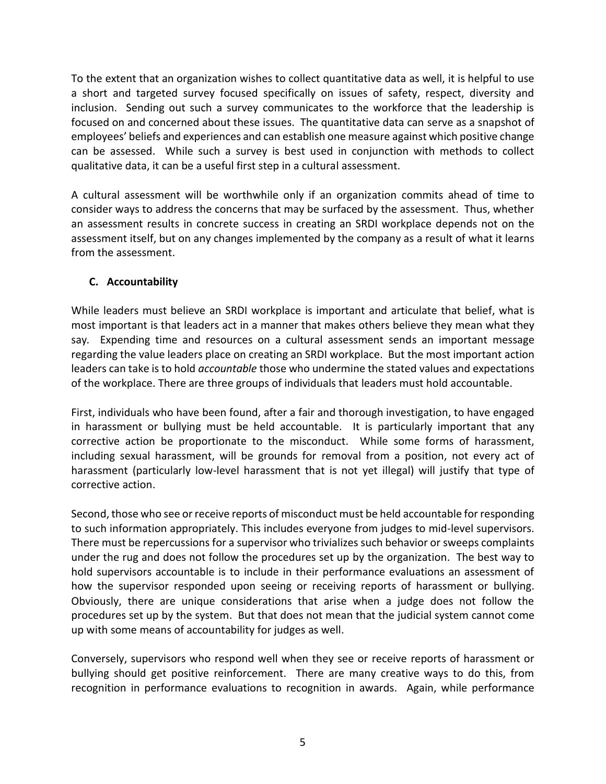To the extent that an organization wishes to collect quantitative data as well, it is helpful to use a short and targeted survey focused specifically on issues of safety, respect, diversity and inclusion. Sending out such a survey communicates to the workforce that the leadership is focused on and concerned about these issues. The quantitative data can serve as a snapshot of employees' beliefs and experiences and can establish one measure against which positive change can be assessed. While such a survey is best used in conjunction with methods to collect qualitative data, it can be a useful first step in a cultural assessment.

A cultural assessment will be worthwhile only if an organization commits ahead of time to consider ways to address the concerns that may be surfaced by the assessment. Thus, whether an assessment results in concrete success in creating an SRDI workplace depends not on the assessment itself, but on any changes implemented by the company as a result of what it learns from the assessment.

# **C. Accountability**

While leaders must believe an SRDI workplace is important and articulate that belief, what is most important is that leaders act in a manner that makes others believe they mean what they say*.* Expending time and resources on a cultural assessment sends an important message regarding the value leaders place on creating an SRDI workplace. But the most important action leaders can take is to hold *accountable* those who undermine the stated values and expectations of the workplace. There are three groups of individuals that leaders must hold accountable.

First, individuals who have been found, after a fair and thorough investigation, to have engaged in harassment or bullying must be held accountable. It is particularly important that any corrective action be proportionate to the misconduct. While some forms of harassment, including sexual harassment, will be grounds for removal from a position, not every act of harassment (particularly low-level harassment that is not yet illegal) will justify that type of corrective action.

Second, those who see or receive reports of misconduct must be held accountable for responding to such information appropriately. This includes everyone from judges to mid-level supervisors. There must be repercussions for a supervisor who trivializes such behavior or sweeps complaints under the rug and does not follow the procedures set up by the organization. The best way to hold supervisors accountable is to include in their performance evaluations an assessment of how the supervisor responded upon seeing or receiving reports of harassment or bullying. Obviously, there are unique considerations that arise when a judge does not follow the procedures set up by the system. But that does not mean that the judicial system cannot come up with some means of accountability for judges as well.

Conversely, supervisors who respond well when they see or receive reports of harassment or bullying should get positive reinforcement. There are many creative ways to do this, from recognition in performance evaluations to recognition in awards. Again, while performance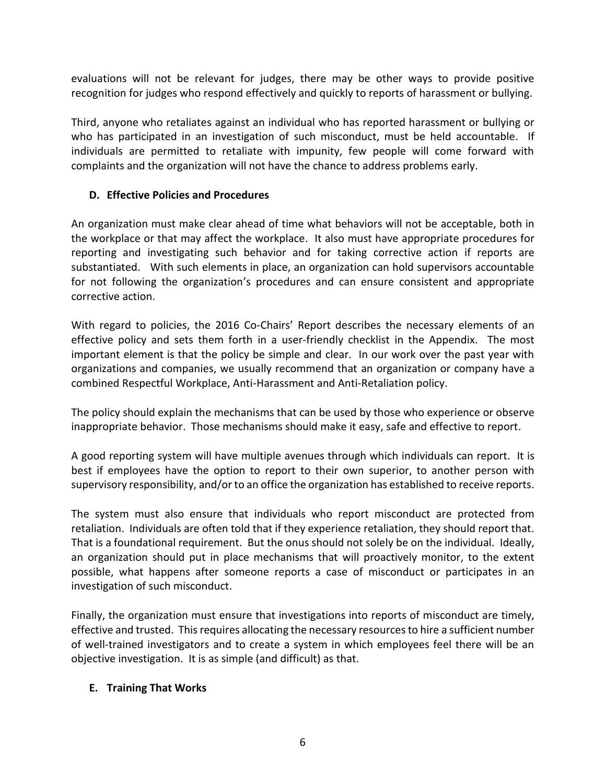evaluations will not be relevant for judges, there may be other ways to provide positive recognition for judges who respond effectively and quickly to reports of harassment or bullying.

Third, anyone who retaliates against an individual who has reported harassment or bullying or who has participated in an investigation of such misconduct, must be held accountable. If individuals are permitted to retaliate with impunity, few people will come forward with complaints and the organization will not have the chance to address problems early.

# **D. Effective Policies and Procedures**

An organization must make clear ahead of time what behaviors will not be acceptable, both in the workplace or that may affect the workplace. It also must have appropriate procedures for reporting and investigating such behavior and for taking corrective action if reports are substantiated. With such elements in place, an organization can hold supervisors accountable for not following the organization's procedures and can ensure consistent and appropriate corrective action.

With regard to policies, the 2016 Co-Chairs' Report describes the necessary elements of an effective policy and sets them forth in a user-friendly checklist in the Appendix. The most important element is that the policy be simple and clear. In our work over the past year with organizations and companies, we usually recommend that an organization or company have a combined Respectful Workplace, Anti-Harassment and Anti-Retaliation policy.

The policy should explain the mechanisms that can be used by those who experience or observe inappropriate behavior. Those mechanisms should make it easy, safe and effective to report.

A good reporting system will have multiple avenues through which individuals can report. It is best if employees have the option to report to their own superior, to another person with supervisory responsibility, and/or to an office the organization has established to receive reports.

The system must also ensure that individuals who report misconduct are protected from retaliation. Individuals are often told that if they experience retaliation, they should report that. That is a foundational requirement. But the onus should not solely be on the individual. Ideally, an organization should put in place mechanisms that will proactively monitor, to the extent possible, what happens after someone reports a case of misconduct or participates in an investigation of such misconduct.

Finally, the organization must ensure that investigations into reports of misconduct are timely, effective and trusted. This requires allocating the necessary resources to hire a sufficient number of well-trained investigators and to create a system in which employees feel there will be an objective investigation. It is as simple (and difficult) as that.

### **E. Training That Works**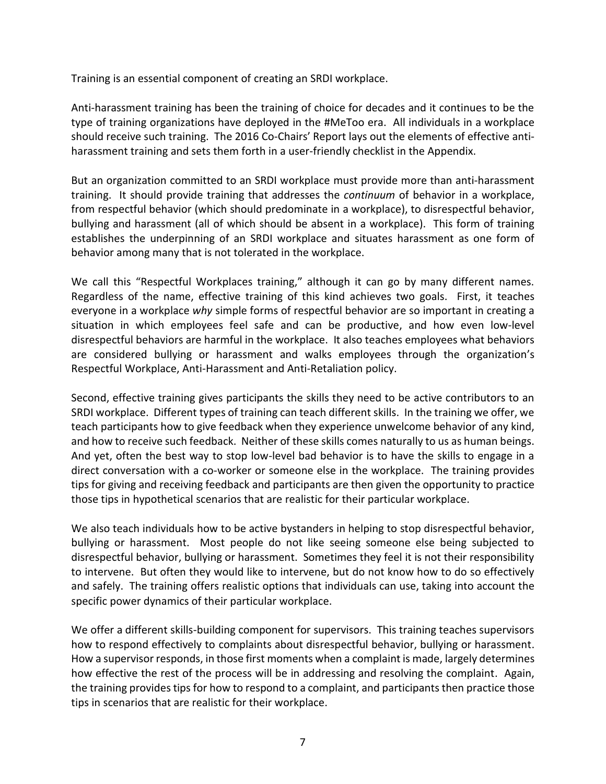Training is an essential component of creating an SRDI workplace.

Anti-harassment training has been the training of choice for decades and it continues to be the type of training organizations have deployed in the #MeToo era. All individuals in a workplace should receive such training. The 2016 Co-Chairs' Report lays out the elements of effective antiharassment training and sets them forth in a user-friendly checklist in the Appendix.

But an organization committed to an SRDI workplace must provide more than anti-harassment training. It should provide training that addresses the *continuum* of behavior in a workplace, from respectful behavior (which should predominate in a workplace), to disrespectful behavior, bullying and harassment (all of which should be absent in a workplace). This form of training establishes the underpinning of an SRDI workplace and situates harassment as one form of behavior among many that is not tolerated in the workplace.

We call this "Respectful Workplaces training," although it can go by many different names. Regardless of the name, effective training of this kind achieves two goals. First, it teaches everyone in a workplace *why* simple forms of respectful behavior are so important in creating a situation in which employees feel safe and can be productive, and how even low-level disrespectful behaviors are harmful in the workplace. It also teaches employees what behaviors are considered bullying or harassment and walks employees through the organization's Respectful Workplace, Anti-Harassment and Anti-Retaliation policy.

Second, effective training gives participants the skills they need to be active contributors to an SRDI workplace. Different types of training can teach different skills. In the training we offer, we teach participants how to give feedback when they experience unwelcome behavior of any kind, and how to receive such feedback. Neither of these skills comes naturally to us as human beings. And yet, often the best way to stop low-level bad behavior is to have the skills to engage in a direct conversation with a co-worker or someone else in the workplace. The training provides tips for giving and receiving feedback and participants are then given the opportunity to practice those tips in hypothetical scenarios that are realistic for their particular workplace.

We also teach individuals how to be active bystanders in helping to stop disrespectful behavior, bullying or harassment. Most people do not like seeing someone else being subjected to disrespectful behavior, bullying or harassment. Sometimes they feel it is not their responsibility to intervene. But often they would like to intervene, but do not know how to do so effectively and safely. The training offers realistic options that individuals can use, taking into account the specific power dynamics of their particular workplace.

We offer a different skills-building component for supervisors. This training teaches supervisors how to respond effectively to complaints about disrespectful behavior, bullying or harassment. How a supervisor responds, in those first moments when a complaint is made, largely determines how effective the rest of the process will be in addressing and resolving the complaint. Again, the training provides tips for how to respond to a complaint, and participants then practice those tips in scenarios that are realistic for their workplace.